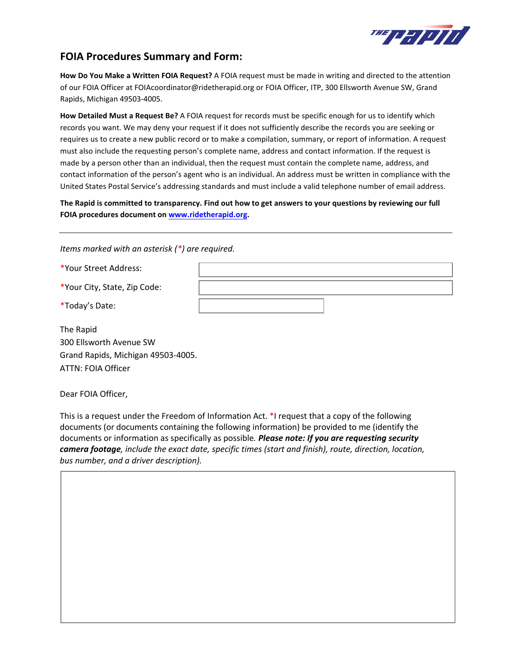

## **FOIA Procedures Summary and Form:**

**How Do You Make a Written FOIA Request?** A FOIA request must be made in writing and directed to the attention of our FOIA Officer at FOIAcoordinator@ridetherapid.org or FOIA Officer, ITP, 300 Ellsworth Avenue SW, Grand Rapids, Michigan 49503-4005.

**How Detailed Must a Request Be?** A FOIA request for records must be specific enough for us to identify which records you want. We may deny your request if it does not sufficiently describe the records you are seeking or requires us to create a new public record or to make a compilation, summary, or report of information. A request must also include the requesting person's complete name, address and contact information. If the request is made by a person other than an individual, then the request must contain the complete name, address, and contact information of the person's agent who is an individual. An address must be written in compliance with the United States Postal Service's addressing standards and must include a valid telephone number of email address.

**The Rapid is committed to transparency. Find out how to get answers to your questions by reviewing our full FOIA procedures document on [www.ridetherapid.org.](http://www.ridetherapid.org/)** 

*Items marked with an asterisk (\*) are required.*

\*Your Street Address:

\*Your City, State, Zip Code:

\*Today's Date:

The Rapid 300 Ellsworth Avenue SW Grand Rapids, Michigan 49503-4005. ATTN: FOIA Officer

Dear FOIA Officer,

This is a request under the Freedom of Information Act. \*I request that a copy of the following documents (or documents containing the following information) be provided to me (identify the documents or information as specifically as possible*. Please note: If you are requesting security camera footage, include the exact date, specific times (start and finish), route, direction, location, bus number, and a driver description).*